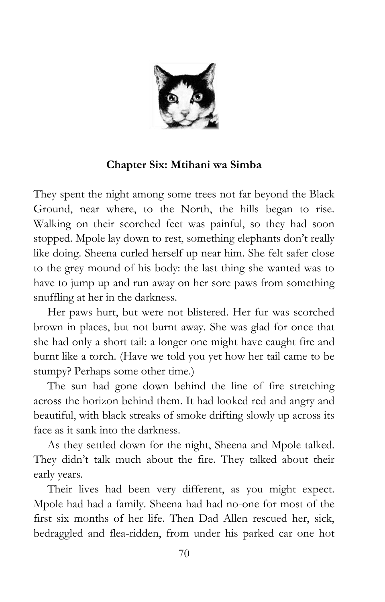

#### **Chapter Six: Mtihani wa Simba**

They spent the night among some trees not far beyond the Black Ground, near where, to the North, the hills began to rise. Walking on their scorched feet was painful, so they had soon stopped. Mpole lay down to rest, something elephants don't really like doing. Sheena curled herself up near him. She felt safer close to the grey mound of his body: the last thing she wanted was to have to jump up and run away on her sore paws from something snuffling at her in the darkness.

Her paws hurt, but were not blistered. Her fur was scorched brown in places, but not burnt away. She was glad for once that she had only a short tail: a longer one might have caught fire and burnt like a torch. (Have we told you yet how her tail came to be stumpy? Perhaps some other time.)

The sun had gone down behind the line of fire stretching across the horizon behind them. It had looked red and angry and beautiful, with black streaks of smoke drifting slowly up across its face as it sank into the darkness.

As they settled down for the night, Sheena and Mpole talked. They didn't talk much about the fire. They talked about their early years.

Their lives had been very different, as you might expect. Mpole had had a family. Sheena had had no-one for most of the first six months of her life. Then Dad Allen rescued her, sick, bedraggled and flea-ridden, from under his parked car one hot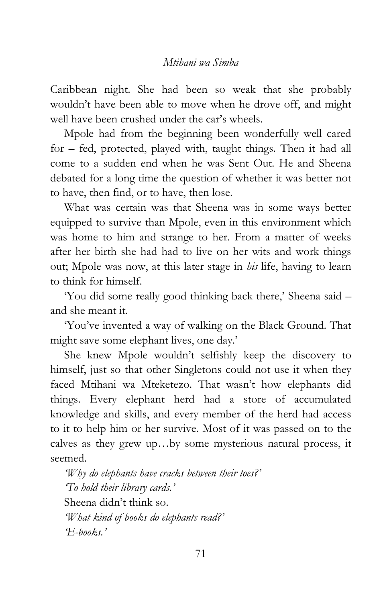Caribbean night. She had been so weak that she probably wouldn"t have been able to move when he drove off, and might well have been crushed under the car's wheels.

Mpole had from the beginning been wonderfully well cared for – fed, protected, played with, taught things. Then it had all come to a sudden end when he was Sent Out. He and Sheena debated for a long time the question of whether it was better not to have, then find, or to have, then lose.

What was certain was that Sheena was in some ways better equipped to survive than Mpole, even in this environment which was home to him and strange to her. From a matter of weeks after her birth she had had to live on her wits and work things out; Mpole was now, at this later stage in *his* life, having to learn to think for himself.

'You did some really good thinking back there,' Sheena said and she meant it.

"You"ve invented a way of walking on the Black Ground. That might save some elephant lives, one day.'

She knew Mpole wouldn"t selfishly keep the discovery to himself, just so that other Singletons could not use it when they faced Mtihani wa Mteketezo. That wasn"t how elephants did things. Every elephant herd had a store of accumulated knowledge and skills, and every member of the herd had access to it to help him or her survive. Most of it was passed on to the calves as they grew up…by some mysterious natural process, it seemed.

*'Why do elephants have cracks between their toes?' 'To hold their library cards.'* Sheena didn"t think so. *'What kind of books do elephants read?' 'E-books.'*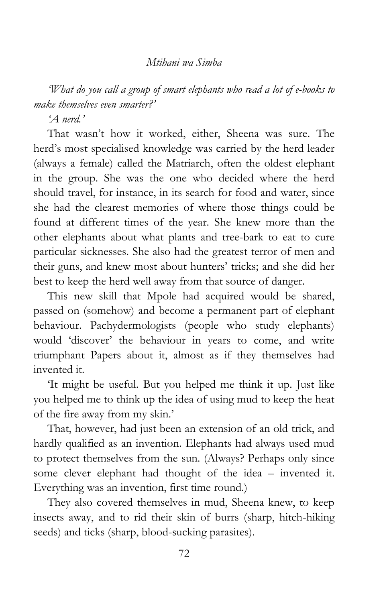*'What do you call a group of smart elephants who read a lot of e-books to make themselves even smarter?'*

*'A nerd.'*

That wasn't how it worked, either, Sheena was sure. The herd"s most specialised knowledge was carried by the herd leader (always a female) called the Matriarch, often the oldest elephant in the group. She was the one who decided where the herd should travel, for instance, in its search for food and water, since she had the clearest memories of where those things could be found at different times of the year. She knew more than the other elephants about what plants and tree-bark to eat to cure particular sicknesses. She also had the greatest terror of men and their guns, and knew most about hunters' tricks; and she did her best to keep the herd well away from that source of danger.

This new skill that Mpole had acquired would be shared, passed on (somehow) and become a permanent part of elephant behaviour. Pachydermologists (people who study elephants) would "discover" the behaviour in years to come, and write triumphant Papers about it, almost as if they themselves had invented it.

"It might be useful. But you helped me think it up. Just like you helped me to think up the idea of using mud to keep the heat of the fire away from my skin."

That, however, had just been an extension of an old trick, and hardly qualified as an invention. Elephants had always used mud to protect themselves from the sun. (Always? Perhaps only since some clever elephant had thought of the idea – invented it. Everything was an invention, first time round.)

They also covered themselves in mud, Sheena knew, to keep insects away, and to rid their skin of burrs (sharp, hitch-hiking seeds) and ticks (sharp, blood-sucking parasites).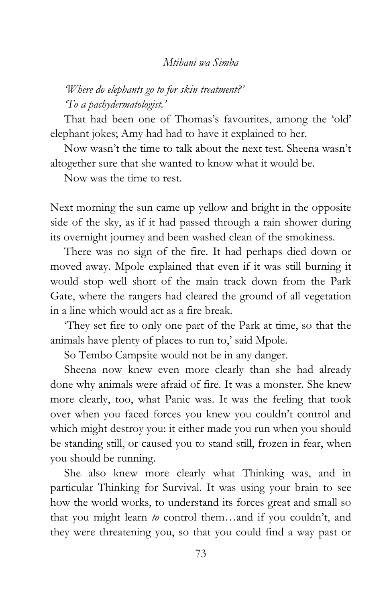### *'Where do elephants go to for skin treatment?' 'To a pachydermatologist.'*

That had been one of Thomas's favourites, among the 'old' elephant jokes; Amy had had to have it explained to her.

Now wasn"t the time to talk about the next test. Sheena wasn"t altogether sure that she wanted to know what it would be.

Now was the time to rest.

Next morning the sun came up yellow and bright in the opposite side of the sky, as if it had passed through a rain shower during its overnight journey and been washed clean of the smokiness.

There was no sign of the fire. It had perhaps died down or moved away. Mpole explained that even if it was still burning it would stop well short of the main track down from the Park Gate, where the rangers had cleared the ground of all vegetation in a line which would act as a fire break.

"They set fire to only one part of the Park at time, so that the animals have plenty of places to run to,' said Mpole.

So Tembo Campsite would not be in any danger.

Sheena now knew even more clearly than she had already done why animals were afraid of fire. It was a monster. She knew more clearly, too, what Panic was. It was the feeling that took over when you faced forces you knew you couldn"t control and which might destroy you: it either made you run when you should be standing still, or caused you to stand still, frozen in fear, when you should be running.

She also knew more clearly what Thinking was, and in particular Thinking for Survival. It was using your brain to see how the world works, to understand its forces great and small so that you might learn *to* control them…and if you couldn"t, and they were threatening you, so that you could find a way past or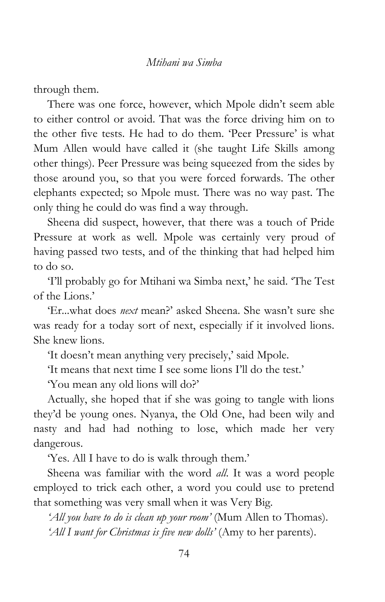through them.

There was one force, however, which Mpole didn"t seem able to either control or avoid. That was the force driving him on to the other five tests. He had to do them. 'Peer Pressure' is what Mum Allen would have called it (she taught Life Skills among other things). Peer Pressure was being squeezed from the sides by those around you, so that you were forced forwards. The other elephants expected; so Mpole must. There was no way past. The only thing he could do was find a way through.

Sheena did suspect, however, that there was a touch of Pride Pressure at work as well. Mpole was certainly very proud of having passed two tests, and of the thinking that had helped him to do so.

"I"ll probably go for Mtihani wa Simba next," he said. "The Test of the Lions."

"Er...what does *next* mean?" asked Sheena. She wasn"t sure she was ready for a today sort of next, especially if it involved lions. She knew lions.

'It doesn't mean anything very precisely,' said Mpole.

"It means that next time I see some lions I"ll do the test."

"You mean any old lions will do?"

Actually, she hoped that if she was going to tangle with lions they"d be young ones. Nyanya, the Old One, had been wily and nasty and had had nothing to lose, which made her very dangerous.

"Yes. All I have to do is walk through them."

Sheena was familiar with the word *all*. It was a word people employed to trick each other, a word you could use to pretend that something was very small when it was Very Big.

*'All you have to do is clean up your room'* (Mum Allen to Thomas). *'All I want for Christmas is five new dolls'* (Amy to her parents).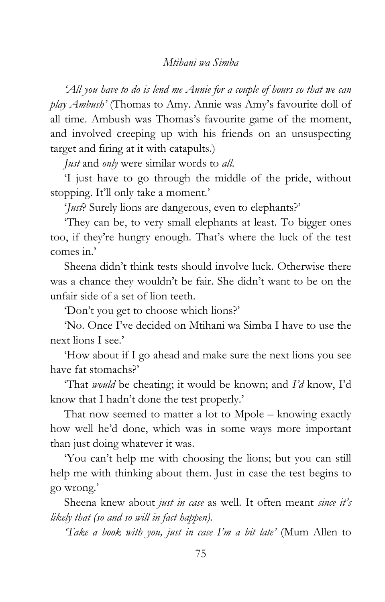*'All you have to do is lend me Annie for a couple of hours so that we can play Ambush'* (Thomas to Amy. Annie was Amy"s favourite doll of all time. Ambush was Thomas's favourite game of the moment, and involved creeping up with his friends on an unsuspecting target and firing at it with catapults.)

*Just* and *only* were similar words to *all*.

"I just have to go through the middle of the pride, without stopping. It'll only take a moment.'

"*Just*? Surely lions are dangerous, even to elephants?"

"They can be, to very small elephants at least. To bigger ones too, if they"re hungry enough. That"s where the luck of the test comes in?

Sheena didn"t think tests should involve luck. Otherwise there was a chance they wouldn"t be fair. She didn"t want to be on the unfair side of a set of lion teeth.

"Don"t you get to choose which lions?"

"No. Once I"ve decided on Mtihani wa Simba I have to use the next lions I see."

"How about if I go ahead and make sure the next lions you see have fat stomachs?'

"That *would* be cheating; it would be known; and *I'd* know, I"d know that I hadn't done the test properly.'

That now seemed to matter a lot to Mpole – knowing exactly how well he"d done, which was in some ways more important than just doing whatever it was.

"You can"t help me with choosing the lions; but you can still help me with thinking about them. Just in case the test begins to go wrong."

Sheena knew about *just in case* as well. It often meant *since it's likely that (so and so will in fact happen).*

*'Take a book with you, just in case I'm a bit late'* (Mum Allen to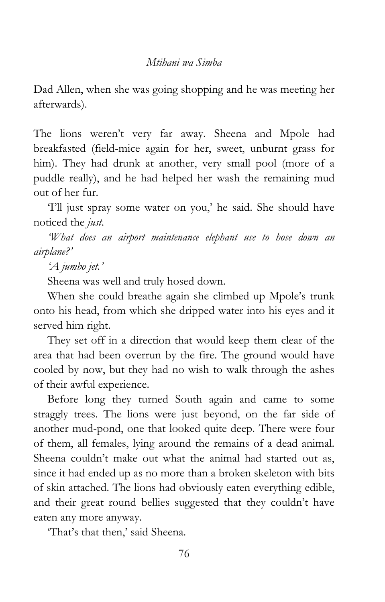Dad Allen, when she was going shopping and he was meeting her afterwards).

The lions weren't very far away. Sheena and Mpole had breakfasted (field-mice again for her, sweet, unburnt grass for him). They had drunk at another, very small pool (more of a puddle really), and he had helped her wash the remaining mud out of her fur.

"I"ll just spray some water on you," he said. She should have noticed the *just*.

*'What does an airport maintenance elephant use to hose down an airplane?'*

*'A jumbo jet.'*

Sheena was well and truly hosed down.

When she could breathe again she climbed up Mpole"s trunk onto his head, from which she dripped water into his eyes and it served him right.

They set off in a direction that would keep them clear of the area that had been overrun by the fire. The ground would have cooled by now, but they had no wish to walk through the ashes of their awful experience.

Before long they turned South again and came to some straggly trees. The lions were just beyond, on the far side of another mud-pond, one that looked quite deep. There were four of them, all females, lying around the remains of a dead animal. Sheena couldn't make out what the animal had started out as, since it had ended up as no more than a broken skeleton with bits of skin attached. The lions had obviously eaten everything edible, and their great round bellies suggested that they couldn't have eaten any more anyway.

'That's that then,' said Sheena.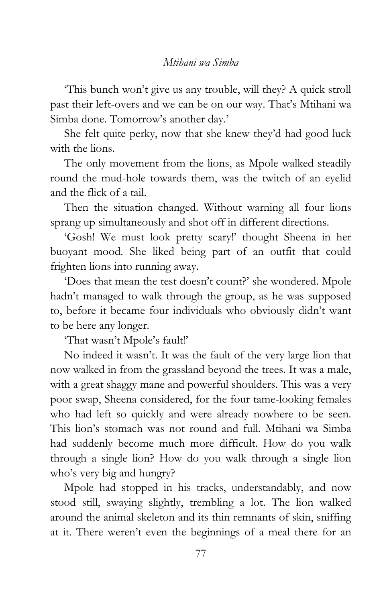"This bunch won"t give us any trouble, will they? A quick stroll past their left-overs and we can be on our way. That"s Mtihani wa Simba done. Tomorrow's another day.'

She felt quite perky, now that she knew they"d had good luck with the lions.

The only movement from the lions, as Mpole walked steadily round the mud-hole towards them, was the twitch of an eyelid and the flick of a tail.

Then the situation changed. Without warning all four lions sprang up simultaneously and shot off in different directions.

"Gosh! We must look pretty scary!" thought Sheena in her buoyant mood. She liked being part of an outfit that could frighten lions into running away.

"Does that mean the test doesn"t count?" she wondered. Mpole hadn"t managed to walk through the group, as he was supposed to, before it became four individuals who obviously didn"t want to be here any longer.

"That wasn"t Mpole"s fault!"

No indeed it wasn"t. It was the fault of the very large lion that now walked in from the grassland beyond the trees. It was a male, with a great shaggy mane and powerful shoulders. This was a very poor swap, Sheena considered, for the four tame-looking females who had left so quickly and were already nowhere to be seen. This lion"s stomach was not round and full. Mtihani wa Simba had suddenly become much more difficult. How do you walk through a single lion? How do you walk through a single lion who's very big and hungry?

Mpole had stopped in his tracks, understandably, and now stood still, swaying slightly, trembling a lot. The lion walked around the animal skeleton and its thin remnants of skin, sniffing at it. There weren"t even the beginnings of a meal there for an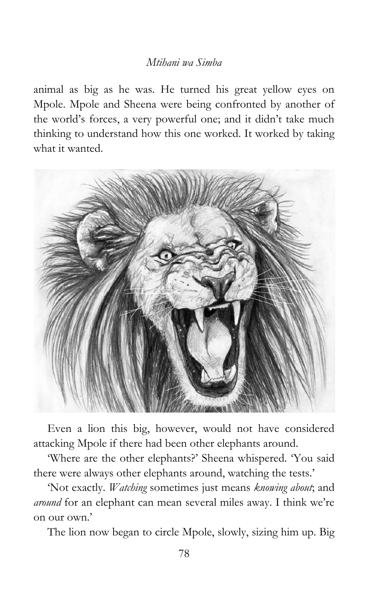animal as big as he was. He turned his great yellow eyes on Mpole. Mpole and Sheena were being confronted by another of the world"s forces, a very powerful one; and it didn"t take much thinking to understand how this one worked. It worked by taking what it wanted.



Even a lion this big, however, would not have considered attacking Mpole if there had been other elephants around.

"Where are the other elephants?" Sheena whispered. "You said there were always other elephants around, watching the tests.'

"Not exactly. *Watching* sometimes just means *knowing about*; and *around* for an elephant can mean several miles away. I think we"re on our own."

The lion now began to circle Mpole, slowly, sizing him up. Big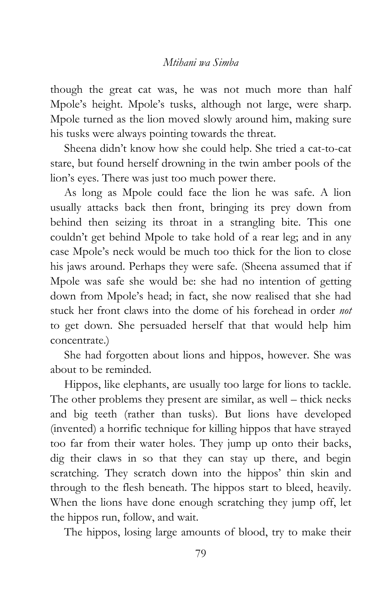though the great cat was, he was not much more than half Mpole"s height. Mpole"s tusks, although not large, were sharp. Mpole turned as the lion moved slowly around him, making sure his tusks were always pointing towards the threat.

Sheena didn"t know how she could help. She tried a cat-to-cat stare, but found herself drowning in the twin amber pools of the lion's eyes. There was just too much power there.

As long as Mpole could face the lion he was safe. A lion usually attacks back then front, bringing its prey down from behind then seizing its throat in a strangling bite. This one couldn"t get behind Mpole to take hold of a rear leg; and in any case Mpole"s neck would be much too thick for the lion to close his jaws around. Perhaps they were safe. (Sheena assumed that if Mpole was safe she would be: she had no intention of getting down from Mpole"s head; in fact, she now realised that she had stuck her front claws into the dome of his forehead in order *not* to get down. She persuaded herself that that would help him concentrate.)

She had forgotten about lions and hippos, however. She was about to be reminded.

Hippos, like elephants, are usually too large for lions to tackle. The other problems they present are similar, as well – thick necks and big teeth (rather than tusks). But lions have developed (invented) a horrific technique for killing hippos that have strayed too far from their water holes. They jump up onto their backs, dig their claws in so that they can stay up there, and begin scratching. They scratch down into the hippos' thin skin and through to the flesh beneath. The hippos start to bleed, heavily. When the lions have done enough scratching they jump off, let the hippos run, follow, and wait.

The hippos, losing large amounts of blood, try to make their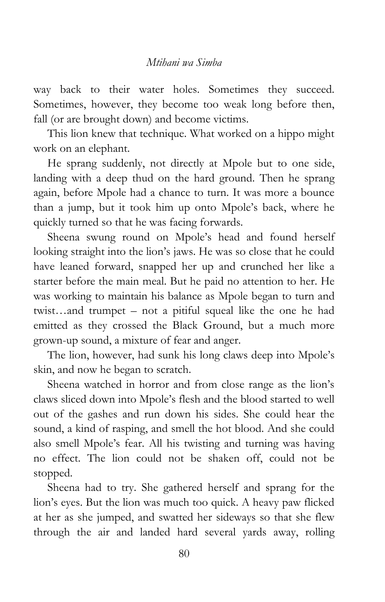way back to their water holes. Sometimes they succeed. Sometimes, however, they become too weak long before then, fall (or are brought down) and become victims.

This lion knew that technique. What worked on a hippo might work on an elephant.

He sprang suddenly, not directly at Mpole but to one side, landing with a deep thud on the hard ground. Then he sprang again, before Mpole had a chance to turn. It was more a bounce than a jump, but it took him up onto Mpole"s back, where he quickly turned so that he was facing forwards.

Sheena swung round on Mpole"s head and found herself looking straight into the lion's jaws. He was so close that he could have leaned forward, snapped her up and crunched her like a starter before the main meal. But he paid no attention to her. He was working to maintain his balance as Mpole began to turn and twist…and trumpet – not a pitiful squeal like the one he had emitted as they crossed the Black Ground, but a much more grown-up sound, a mixture of fear and anger.

The lion, however, had sunk his long claws deep into Mpole"s skin, and now he began to scratch.

Sheena watched in horror and from close range as the lion"s claws sliced down into Mpole"s flesh and the blood started to well out of the gashes and run down his sides. She could hear the sound, a kind of rasping, and smell the hot blood. And she could also smell Mpole"s fear. All his twisting and turning was having no effect. The lion could not be shaken off, could not be stopped.

Sheena had to try. She gathered herself and sprang for the lion"s eyes. But the lion was much too quick. A heavy paw flicked at her as she jumped, and swatted her sideways so that she flew through the air and landed hard several yards away, rolling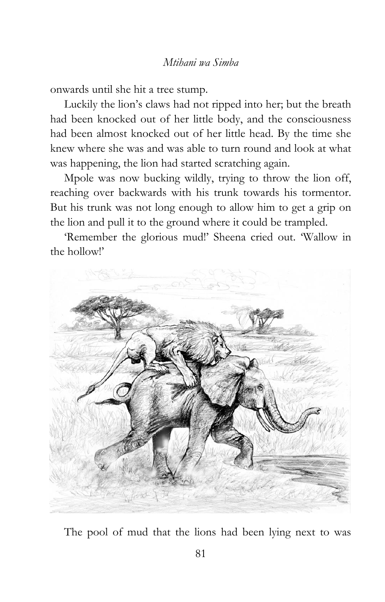onwards until she hit a tree stump.

Luckily the lion"s claws had not ripped into her; but the breath had been knocked out of her little body, and the consciousness had been almost knocked out of her little head. By the time she knew where she was and was able to turn round and look at what was happening, the lion had started scratching again.

Mpole was now bucking wildly, trying to throw the lion off, reaching over backwards with his trunk towards his tormentor. But his trunk was not long enough to allow him to get a grip on the lion and pull it to the ground where it could be trampled.

"Remember the glorious mud!" Sheena cried out. "Wallow in the hollow!'



The pool of mud that the lions had been lying next to was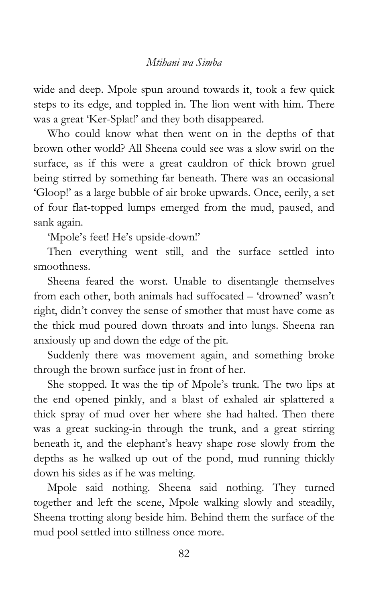wide and deep. Mpole spun around towards it, took a few quick steps to its edge, and toppled in. The lion went with him. There was a great "Ker-Splat!" and they both disappeared.

Who could know what then went on in the depths of that brown other world? All Sheena could see was a slow swirl on the surface, as if this were a great cauldron of thick brown gruel being stirred by something far beneath. There was an occasional "Gloop!" as a large bubble of air broke upwards. Once, eerily, a set of four flat-topped lumps emerged from the mud, paused, and sank again.

'Mpole's feet! He's upside-down!'

Then everything went still, and the surface settled into smoothness.

Sheena feared the worst. Unable to disentangle themselves from each other, both animals had suffocated – "drowned" wasn"t right, didn"t convey the sense of smother that must have come as the thick mud poured down throats and into lungs. Sheena ran anxiously up and down the edge of the pit.

Suddenly there was movement again, and something broke through the brown surface just in front of her.

She stopped. It was the tip of Mpole"s trunk. The two lips at the end opened pinkly, and a blast of exhaled air splattered a thick spray of mud over her where she had halted. Then there was a great sucking-in through the trunk, and a great stirring beneath it, and the elephant"s heavy shape rose slowly from the depths as he walked up out of the pond, mud running thickly down his sides as if he was melting.

Mpole said nothing. Sheena said nothing. They turned together and left the scene, Mpole walking slowly and steadily, Sheena trotting along beside him. Behind them the surface of the mud pool settled into stillness once more.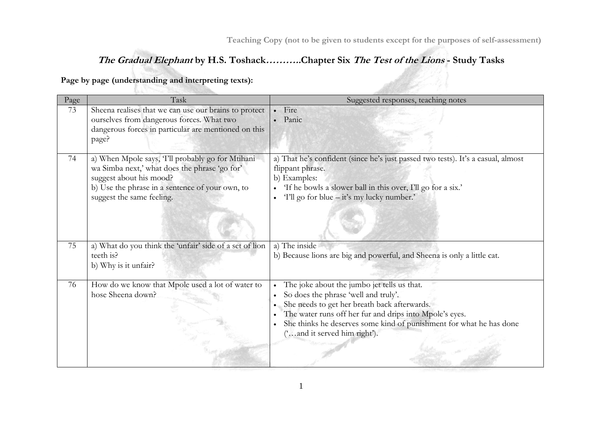<u>alik S</u>

# **The Gradual Elephant by H.S. Toshack………..Chapter Six The Test of the Lions - Study Tasks**

**Page by page (understanding and interpreting texts):**

| Page | Task                                                                                                                                                                                                          | Suggested responses, teaching notes                                                                                                                                                                                                                                                                                                          |
|------|---------------------------------------------------------------------------------------------------------------------------------------------------------------------------------------------------------------|----------------------------------------------------------------------------------------------------------------------------------------------------------------------------------------------------------------------------------------------------------------------------------------------------------------------------------------------|
| 73   | Sheena realises that we can use our brains to protect<br>ourselves from dangerous forces. What two<br>dangerous forces in particular are mentioned on this<br>page?                                           | Fire<br>Panic                                                                                                                                                                                                                                                                                                                                |
| 74   | a) When Mpole says, 'I'll probably go for Mtihani<br>wa Simba next,' what does the phrase 'go for'<br>suggest about his mood?<br>b) Use the phrase in a sentence of your own, to<br>suggest the same feeling. | a) That he's confident (since he's just passed two tests). It's a casual, almost<br>flippant phrase.<br>b) Examples:<br>'If he bowls a slower ball in this over, I'll go for a six.'<br>'I'll go for blue – it's my lucky number.'                                                                                                           |
| 75   | a) What do you think the 'unfair' side of a set of lion<br>teeth is?<br>b) Why is it unfair?                                                                                                                  | a) The inside<br>b) Because lions are big and powerful, and Sheena is only a little cat.                                                                                                                                                                                                                                                     |
| 76   | How do we know that Mpole used a lot of water to<br>hose Sheena down?                                                                                                                                         | The joke about the jumbo jet tells us that.<br>So does the phrase 'well and truly'.<br>She needs to get her breath back afterwards.<br>$\bullet$<br>The water runs off her fur and drips into Mpole's eyes.<br>$\bullet$<br>She thinks he deserves some kind of punishment for what he has done<br>$\bullet$<br>('and it served him right'). |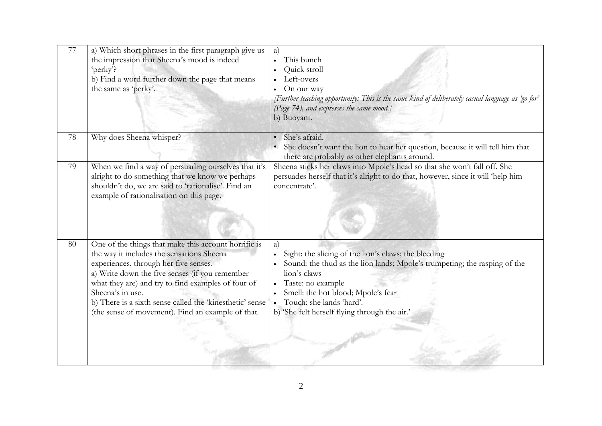| 77 | a) Which short phrases in the first paragraph give us<br>the impression that Sheena's mood is indeed<br>'perky'?<br>b) Find a word further down the page that means<br>the same as 'perky'.                                                                                                                                                                                             | a)<br>This bunch<br>Quick stroll<br>Left-overs<br>On our way<br>(Further teaching opportunity: This is the same kind of deliberately casual language as 'go for'<br>(Page 74), and expresses the same mood.]<br>b) Buoyant.                                                                     |
|----|-----------------------------------------------------------------------------------------------------------------------------------------------------------------------------------------------------------------------------------------------------------------------------------------------------------------------------------------------------------------------------------------|-------------------------------------------------------------------------------------------------------------------------------------------------------------------------------------------------------------------------------------------------------------------------------------------------|
| 78 | Why does Sheena whisper?                                                                                                                                                                                                                                                                                                                                                                | She's afraid.<br>She doesn't want the lion to hear her question, because it will tell him that<br>there are probably no other elephants around.                                                                                                                                                 |
| 79 | When we find a way of persuading ourselves that it's<br>alright to do something that we know we perhaps<br>shouldn't do, we are said to 'rationalise'. Find an<br>example of rationalisation on this page.                                                                                                                                                                              | Sheena sticks her claws into Mpole's head so that she won't fall off. She<br>persuades herself that it's alright to do that, however, since it will 'help him<br>concentrate'.                                                                                                                  |
| 80 | One of the things that make this account horrific is<br>the way it includes the sensations Sheena<br>experiences, through her five senses.<br>a) Write down the five senses (if you remember<br>what they are) and try to find examples of four of<br>Sheena's in use.<br>b) There is a sixth sense called the 'kinesthetic' sense<br>(the sense of movement). Find an example of that. | a)<br>Sight: the slicing of the lion's claws; the bleeding<br>Sound: the thud as the lion lands; Mpole's trumpeting; the rasping of the<br>lion's claws<br>Taste: no example<br>Smell: the hot blood; Mpole's fear<br>Touch: she lands 'hard'.<br>b) 'She felt herself flying through the air.' |

 $\frac{1}{2}$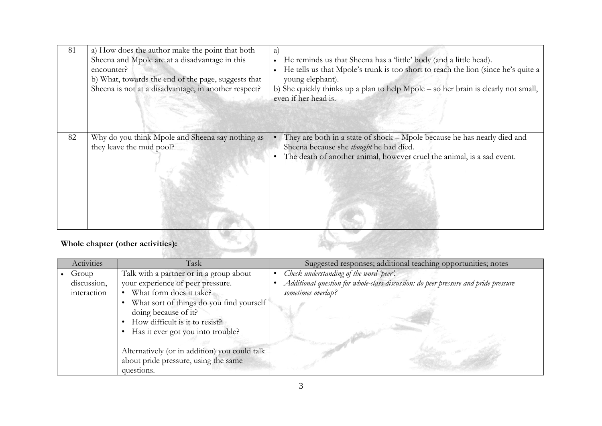| 81 | a) How does the author make the point that both<br>Sheena and Mpole are at a disadvantage in this<br>encounter?<br>b) What, towards the end of the page, suggests that<br>Sheena is not at a disadvantage, in another respect? | a)<br>He reminds us that Sheena has a 'little' body (and a little head).<br>$\bullet$<br>He tells us that Mpole's trunk is too short to reach the lion (since he's quite a<br>$\bullet$<br>young elephant).<br>b) She quickly thinks up a plan to help Mpole – so her brain is clearly not small,<br>even if her head is. |
|----|--------------------------------------------------------------------------------------------------------------------------------------------------------------------------------------------------------------------------------|---------------------------------------------------------------------------------------------------------------------------------------------------------------------------------------------------------------------------------------------------------------------------------------------------------------------------|
| 82 | Why do you think Mpole and Sheena say nothing as<br>they leave the mud pool?                                                                                                                                                   | They are both in a state of shock – Mpole because he has nearly died and<br>Sheena because she thought he had died.<br>The death of another animal, however cruel the animal, is a sad event.<br>$\bullet$                                                                                                                |

# **Whole chapter (other activities):**

| Activities                              | Task                                                                                                                                                                                                                                                                                                                                        | Suggested responses; additional teaching opportunities; notes                                                                                        |
|-----------------------------------------|---------------------------------------------------------------------------------------------------------------------------------------------------------------------------------------------------------------------------------------------------------------------------------------------------------------------------------------------|------------------------------------------------------------------------------------------------------------------------------------------------------|
| • $Group$<br>discussion,<br>interaction | Talk with a partner or in a group about<br>your experience of peer pressure.<br>What form does it take?<br>What sort of things do you find yourself<br>doing because of it?<br>How difficult is it to resist?<br>Has it ever got you into trouble?<br>Alternatively (or in addition) you could talk<br>about pride pressure, using the same | Check understanding of the word 'peer'.<br>Additional question for whole-class discussion: do peer pressure and pride pressure<br>sometimes overlap? |
|                                         | questions.                                                                                                                                                                                                                                                                                                                                  |                                                                                                                                                      |

**Service Commence**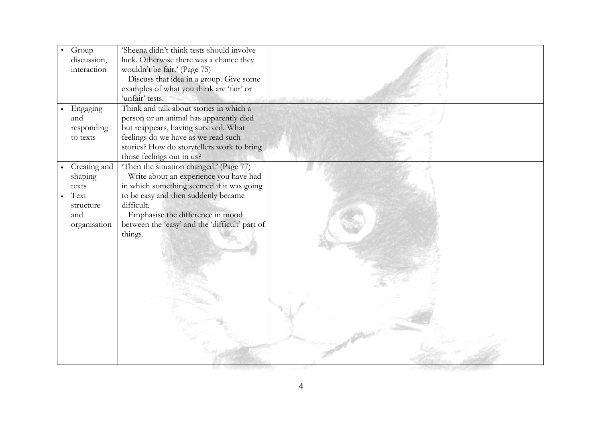| Group        | 'Sheena didn't think tests should involve                   |  |
|--------------|-------------------------------------------------------------|--|
| discussion,  | luck. Otherwise there was a chance they                     |  |
| interaction  | wouldn't be fair.' (Page 75)                                |  |
|              | Discuss that idea in a group. Give some                     |  |
|              | examples of what you think are 'fair' or<br>'unfair' tests. |  |
|              | Think and talk about stories in which a                     |  |
| Engaging     |                                                             |  |
| and          | person or an animal has apparently died                     |  |
| responding   | but reappears, having survived. What                        |  |
| to texts     | feelings do we have as we read such                         |  |
|              | stories? How do storytellers work to bring                  |  |
|              | those feelings out in us?                                   |  |
| Creating and | Then the situation changed.' (Page 77)                      |  |
| shaping      | Write about an experience you have had                      |  |
| texts        | in which something seemed if it was going                   |  |
| Text         | to be easy and then suddenly became                         |  |
| structure    | difficult.                                                  |  |
| and          | Emphasise the difference in mood                            |  |
| organisation | between the 'easy' and the 'difficult' part of              |  |
|              | things.                                                     |  |
|              |                                                             |  |
|              |                                                             |  |
|              |                                                             |  |
|              |                                                             |  |
|              |                                                             |  |
|              |                                                             |  |
|              |                                                             |  |
|              |                                                             |  |
|              |                                                             |  |
|              |                                                             |  |
|              |                                                             |  |
|              |                                                             |  |
|              |                                                             |  |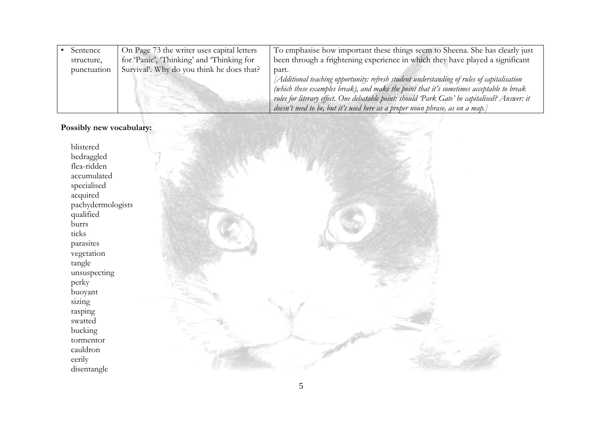| Sentence    | On Page 73 the writer uses capital letters | To emphasise how important these things seem to Sheena. She has clearly just                 |
|-------------|--------------------------------------------|----------------------------------------------------------------------------------------------|
| structure,  | for Panic', 'Thinking' and 'Thinking for   | been through a frightening experience in which they have played a significant                |
| punctuation | Survival'. Why do you think he does that?  | part.                                                                                        |
|             |                                            | [Additional teaching opportunity: refresh student understanding of rules of capitalisation   |
|             |                                            | (which these examples break), and make the point that it's sometimes acceptable to break     |
|             |                                            | rules for literary effect. One debatable point: should Park Gate' be capitalised? Answer: it |
|             |                                            | doesn't need to be, but it's used here as a proper noun phrase, as on a map.]                |

### **Possibly new vocabulary:**

blistered bedraggled flea-ridden accumulated specialised acquired pachydermologists qualified burrs ticks parasites vegetation tangle unsuspecting perky buoyant sizing rasping swatted bucking tormentor cauldron eerily disentangle

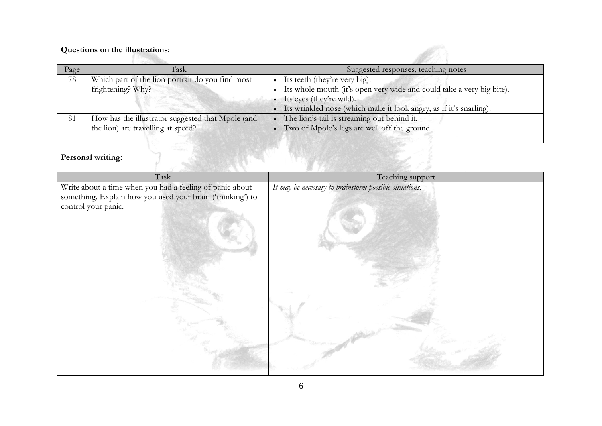# **Questions on the illustrations:**

| Page | Task                                              | Suggested responses, teaching notes                                   |
|------|---------------------------------------------------|-----------------------------------------------------------------------|
| 78   | Which part of the lion portrait do you find most  | Its teeth (they're very big).                                         |
|      | frightening? Why?                                 | Its whole mouth (it's open very wide and could take a very big bite). |
|      |                                                   | Its eyes (they're wild).                                              |
|      |                                                   | Its wrinkled nose (which make it look angry, as if it's snarling).    |
| 81   | How has the illustrator suggested that Mpole (and | The lion's tail is streaming out behind it.                           |
|      | the lion) are travelling at speed?                | Two of Mpole's legs are well off the ground.                          |
|      |                                                   |                                                                       |

B.

# **Personal writing:**

| Personal writing:                                          |                                                        |
|------------------------------------------------------------|--------------------------------------------------------|
| Task                                                       | Teaching support                                       |
| Write about a time when you had a feeling of panic about   | It may be necessary to brainstorm possible situations. |
| something. Explain how you used your brain ('thinking') to |                                                        |
| control your panic.                                        |                                                        |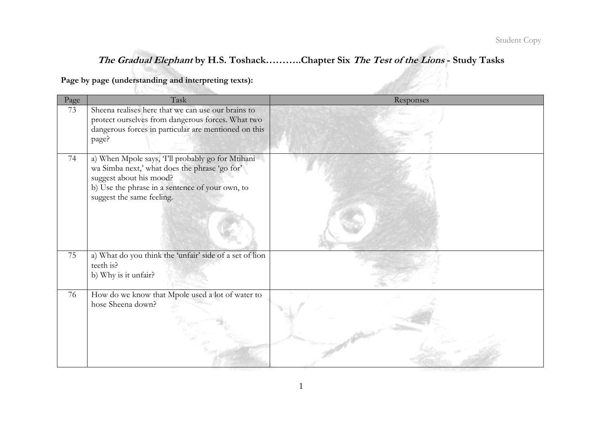$\mathbb{Z}$ 

# **The Gradual Elephant by H.S. Toshack………..Chapter Six The Test of the Lions - Study Tasks**

**Page by page (understanding and interpreting texts):**

| Page | Task                                                                                                                                                                                                         | Responses |
|------|--------------------------------------------------------------------------------------------------------------------------------------------------------------------------------------------------------------|-----------|
| 73   | Sheena realises here that we can use our brains to<br>protect ourselves from dangerous forces. What two<br>dangerous forces in particular are mentioned on this<br>page?                                     |           |
| 74   | a) When Mpole says, T'll probably go for Mtihani<br>wa Simba next,' what does the phrase 'go for'<br>suggest about his mood?<br>b) Use the phrase in a sentence of your own, to<br>suggest the same feeling. |           |
| 75   | a) What do you think the 'unfair' side of a set of lion<br>teeth is?<br>b) Why is it unfair?                                                                                                                 |           |
| 76   | How do we know that Mpole used a lot of water to<br>hose Sheena down?                                                                                                                                        |           |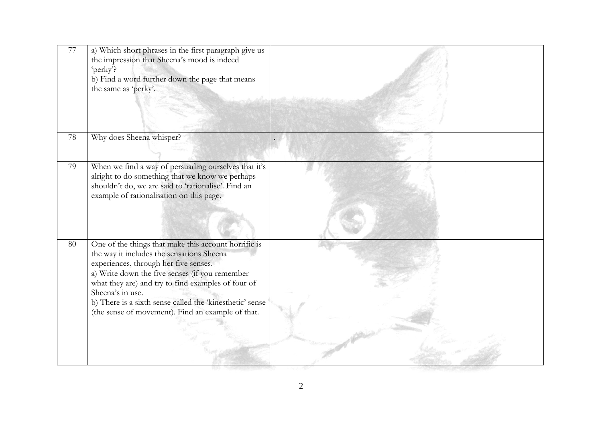| $77\,$ | a) Which short phrases in the first paragraph give us<br>the impression that Sheena's mood is indeed<br>'perky'?<br>b) Find a word further down the page that means<br>the same as 'perky'.                                                                                                                                                                                             |  |
|--------|-----------------------------------------------------------------------------------------------------------------------------------------------------------------------------------------------------------------------------------------------------------------------------------------------------------------------------------------------------------------------------------------|--|
| 78     | Why does Sheena whisper?                                                                                                                                                                                                                                                                                                                                                                |  |
| 79     | When we find a way of persuading ourselves that it's<br>alright to do something that we know we perhaps<br>shouldn't do, we are said to 'rationalise'. Find an<br>example of rationalisation on this page.                                                                                                                                                                              |  |
| 80     | One of the things that make this account horrific is<br>the way it includes the sensations Sheena<br>experiences, through her five senses.<br>a) Write down the five senses (if you remember<br>what they are) and try to find examples of four of<br>Sheena's in use.<br>b) There is a sixth sense called the 'kinesthetic' sense<br>(the sense of movement). Find an example of that. |  |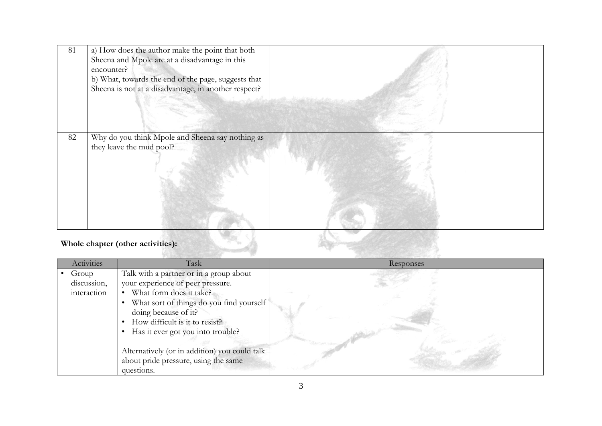| 81 | a) How does the author make the point that both<br>Sheena and Mpole are at a disadvantage in this<br>encounter?<br>b) What, towards the end of the page, suggests that |  |
|----|------------------------------------------------------------------------------------------------------------------------------------------------------------------------|--|
|    | Sheena is not at a disadvantage, in another respect?                                                                                                                   |  |
| 82 | Why do you think Mpole and Sheena say nothing as<br>they leave the mud pool?                                                                                           |  |
|    | Whole chapter (other activities):                                                                                                                                      |  |

# **Whole chapter (other activities):**

| Activities  | Task                                          | Responses |
|-------------|-----------------------------------------------|-----------|
| Group       | Talk with a partner or in a group about       |           |
| discussion, | your experience of peer pressure.             |           |
| interaction | What form does it take?                       |           |
|             | What sort of things do you find yourself      |           |
|             | doing because of it?                          |           |
|             | How difficult is it to resist?                |           |
|             | Has it ever got you into trouble?             |           |
|             |                                               |           |
|             | Alternatively (or in addition) you could talk |           |
|             | about pride pressure, using the same          |           |
|             | questions.                                    |           |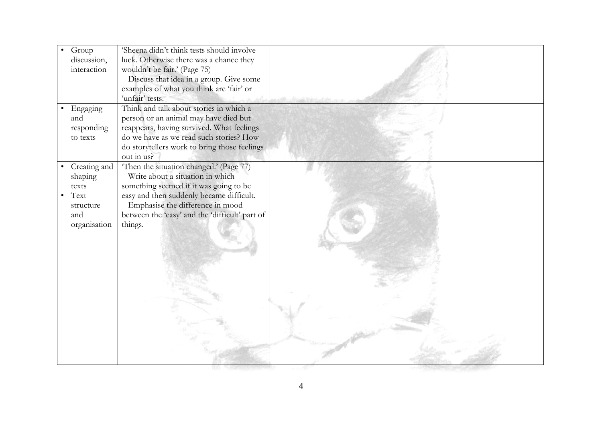| Group<br>discussion,<br>interaction<br>Engaging<br>$\bullet$<br>and<br>responding<br>to texts | 'Sheena didn't think tests should involve<br>luck. Otherwise there was a chance they<br>wouldn't be fair.' (Page 75)<br>Discuss that idea in a group. Give some<br>examples of what you think are 'fair' or<br>'unfair' tests.<br>Think and talk about stories in which a<br>person or an animal may have died but<br>reappears, having survived. What feelings<br>do we have as we read such stories? How |  |
|-----------------------------------------------------------------------------------------------|------------------------------------------------------------------------------------------------------------------------------------------------------------------------------------------------------------------------------------------------------------------------------------------------------------------------------------------------------------------------------------------------------------|--|
|                                                                                               | do storytellers work to bring those feelings<br>out in us?                                                                                                                                                                                                                                                                                                                                                 |  |
| • Creating and<br>shaping<br>texts<br>Text<br>$\bullet$<br>structure<br>and<br>organisation   | Then the situation changed.' (Page 77)<br>Write about a situation in which<br>something seemed if it was going to be<br>easy and then suddenly became difficult.<br>Emphasise the difference in mood<br>between the 'easy' and the 'difficult' part of<br>things.                                                                                                                                          |  |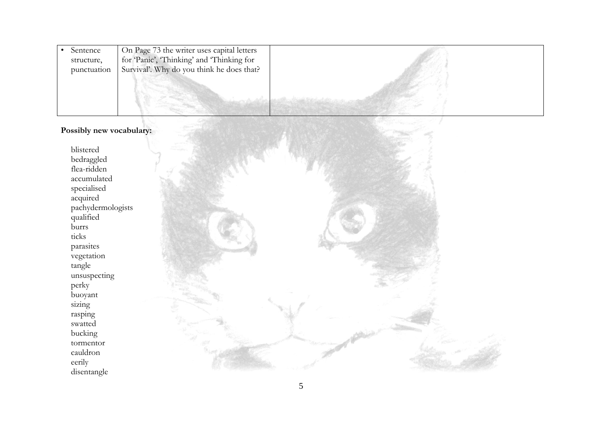| Sentence<br>structure, | On Page 73 the writer uses capital letters<br>for 'Panic', 'Thinking' and 'Thinking for |  |
|------------------------|-----------------------------------------------------------------------------------------|--|
| punctuation            | Survival'. Why do you think he does that?                                               |  |
|                        |                                                                                         |  |

### **Possibly new vocabulary:**

blistered bedraggled flea-ridden accumulated specialised acquired pachydermologists qualified burrs ticks parasites vegetation tangle unsuspecting perky buoyant sizing rasping swatted bucking tormentor cauldron eerily disentangle